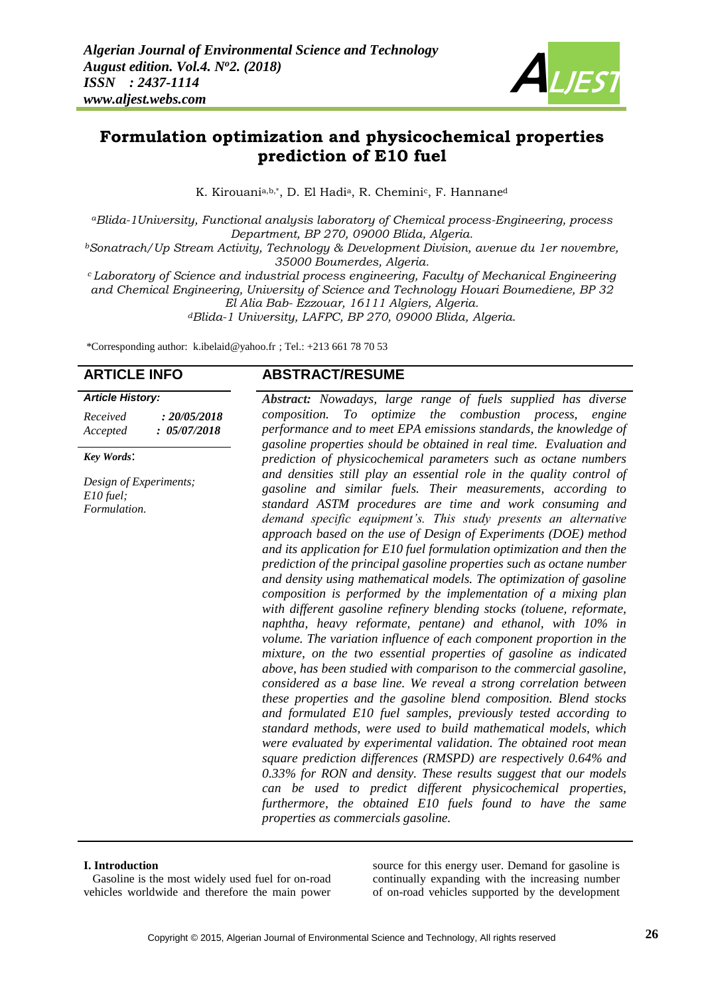

## **Formulation optimization and physicochemical properties prediction of E10 fuel**

K. Kirouania,b,\*, D. El Hadia, R. Cheminic, F. Hannaned

*<sup>a</sup>Blida-1University, Functional analysis laboratory of Chemical process-Engineering, process Department, BP 270, 09000 Blida, Algeria.*

*<sup>b</sup>Sonatrach/Up Stream Activity, Technology & Development Division, avenue du 1er novembre, 35000 Boumerdes, Algeria.*

*<sup>c</sup>Laboratory of Science and industrial process engineering, Faculty of Mechanical Engineering and Chemical Engineering, University of Science and Technology Houari Boumediene, BP 32 El Alia Bab- Ezzouar, 16111 Algiers, Algeria.*

*<sup>d</sup>Blida-1 University, LAFPC, BP 270, 09000 Blida, Algeria*.

\*Corresponding author: [k.ibelaid@yahoo.fr](mailto:k.ibelaid@yahoo.fr) ; Tel.: +213 661 78 70 53

| Received | : 20/05/2018 |  |  |  |
|----------|--------------|--|--|--|
| Accepted | : 05/07/2018 |  |  |  |

#### *Key Words*:

*Design of Experiments; E10 fuel; Formulation.*

### **ARTICLE INFO ABSTRACT/RESUME**

*Abstract: Nowadays, large range of fuels supplied has diverse composition. To optimize the combustion process, engine performance and to meet EPA emissions standards, the knowledge of gasoline properties should be obtained in real time. Evaluation and prediction of physicochemical parameters such as octane numbers and densities still play an essential role in the quality control of gasoline and similar fuels. Their measurements, according to standard ASTM procedures are time and work consuming and demand specific equipment's. This study presents an alternative approach based on the use of Design of Experiments (DOE) method and its application for E10 fuel formulation optimization and then the prediction of the principal gasoline properties such as octane number and density using mathematical models. The optimization of gasoline composition is performed by the implementation of a mixing plan with different gasoline refinery blending stocks (toluene, reformate, naphtha, heavy reformate, pentane) and ethanol, with 10% in volume. The variation influence of each component proportion in the mixture, on the two essential properties of gasoline as indicated above, has been studied with comparison to the commercial gasoline, considered as a base line. We reveal a strong correlation between these properties and the gasoline blend composition. Blend stocks and formulated E10 fuel samples, previously tested according to standard methods, were used to build mathematical models, which were evaluated by experimental validation. The obtained root mean square prediction differences (RMSPD) are respectively 0.64% and 0.33% for RON and density. These results suggest that our models can be used to predict different physicochemical properties, furthermore, the obtained E10 fuels found to have the same properties as commercials gasoline.* 

#### **I. Introduction**

 Gasoline is the most widely used fuel for on-road vehicles worldwide and therefore the main power

source for this energy user. Demand for gasoline is continually expanding with the increasing number of on-road vehicles supported by the development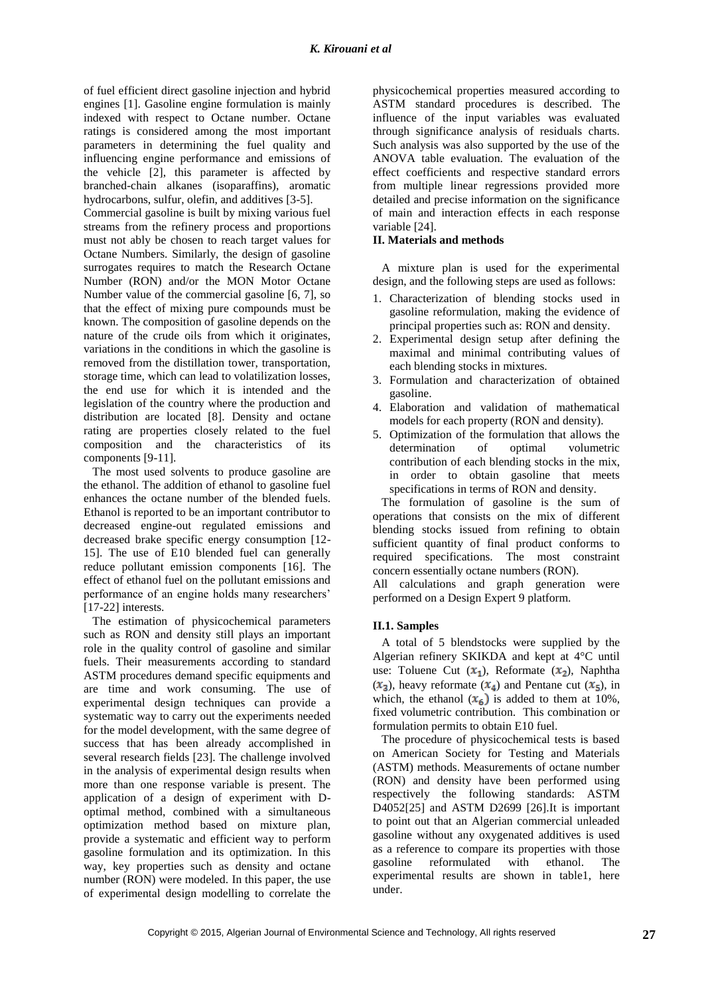of fuel efficient direct gasoline injection and hybrid engines [1]. Gasoline engine formulation is mainly indexed with respect to Octane number. Octane ratings is considered among the most important parameters in determining the fuel quality and influencing engine performance and emissions of the vehicle [2], this parameter is affected by branched-chain alkanes (isoparaffins), aromatic hydrocarbons, sulfur, olefin, and additives [3-5].

Commercial gasoline is built by mixing various fuel streams from the refinery process and proportions must not ably be chosen to reach target values for Octane Numbers. Similarly, the design of gasoline surrogates requires to match the Research Octane Number (RON) and/or the MON Motor Octane Number value of the commercial gasoline [6, 7], so that the effect of mixing pure compounds must be known. The composition of gasoline depends on the nature of the crude oils from which it originates, variations in the conditions in which the gasoline is removed from the distillation tower, transportation, storage time, which can lead to volatilization losses, the end use for which it is intended and the legislation of the country where the production and distribution are located [8]. Density and octane rating are properties closely related to the fuel composition and the characteristics of its components [9-11].

 The most used solvents to produce gasoline are the ethanol. The addition of ethanol to gasoline fuel enhances the octane number of the blended fuels. Ethanol is reported to be an important contributor to decreased engine-out regulated emissions and decreased brake specific energy consumption [12- 15]. The use of E10 blended fuel can generally reduce pollutant emission components [16]. The effect of ethanol fuel on the pollutant emissions and performance of an engine holds many researchers' [17-22] interests.

 The estimation of physicochemical parameters such as RON and density still plays an important role in the quality control of gasoline and similar fuels. Their measurements according to standard ASTM procedures demand specific equipments and are time and work consuming. The use of experimental design techniques can provide a systematic way to carry out the experiments needed for the model development, with the same degree of success that has been already accomplished in several research fields [23]. The challenge involved in the analysis of experimental design results when more than one response variable is present. The application of a design of experiment with Doptimal method, combined with a simultaneous optimization method based on mixture plan, provide a systematic and efficient way to perform gasoline formulation and its optimization. In this way, key properties such as density and octane number (RON) were modeled. In this paper, the use of experimental design modelling to correlate the

physicochemical properties measured according to ASTM standard procedures is described. The influence of the input variables was evaluated through significance analysis of residuals charts. Such analysis was also supported by the use of the ANOVA table evaluation. The evaluation of the effect coefficients and respective standard errors from multiple linear regressions provided more detailed and precise information on the significance of main and interaction effects in each response variable [24].

#### **II. Materials and methods**

 A mixture plan is used for the experimental design, and the following steps are used as follows:

- 1. Characterization of blending stocks used in gasoline reformulation, making the evidence of principal properties such as: RON and density.
- 2. Experimental design setup after defining the maximal and minimal contributing values of each blending stocks in mixtures.
- 3. Formulation and characterization of obtained gasoline.
- 4. Elaboration and validation of mathematical models for each property (RON and density).
- 5. Optimization of the formulation that allows the determination of optimal volumetric contribution of each blending stocks in the mix, in order to obtain gasoline that meets specifications in terms of RON and density.

 The formulation of gasoline is the sum of operations that consists on the mix of different blending stocks issued from refining to obtain sufficient quantity of final product conforms to required specifications. The most constraint concern essentially octane numbers (RON).

All calculations and graph generation were performed on a Design Expert 9 platform.

#### **II.1. Samples**

 A total of 5 blendstocks were supplied by the Algerian refinery SKIKDA and kept at 4°C until use: Toluene Cut  $(x_1)$ , Reformate  $(x_2)$ , Naphtha  $(x_3)$ , heavy reformate  $(x_4)$  and Pentane cut  $(x_5)$ , in which, the ethanol  $(x_6)$  is added to them at 10%, fixed volumetric contribution. This combination or formulation permits to obtain E10 fuel.

 The procedure of physicochemical tests is based on American Society for Testing and Materials (ASTM) methods. Measurements of octane number (RON) and density have been performed using respectively the following standards: ASTM D4052[25] and ASTM D2699 [26].It is important to point out that an Algerian commercial unleaded gasoline without any oxygenated additives is used as a reference to compare its properties with those gasoline reformulated with ethanol. The experimental results are shown in table1, here under.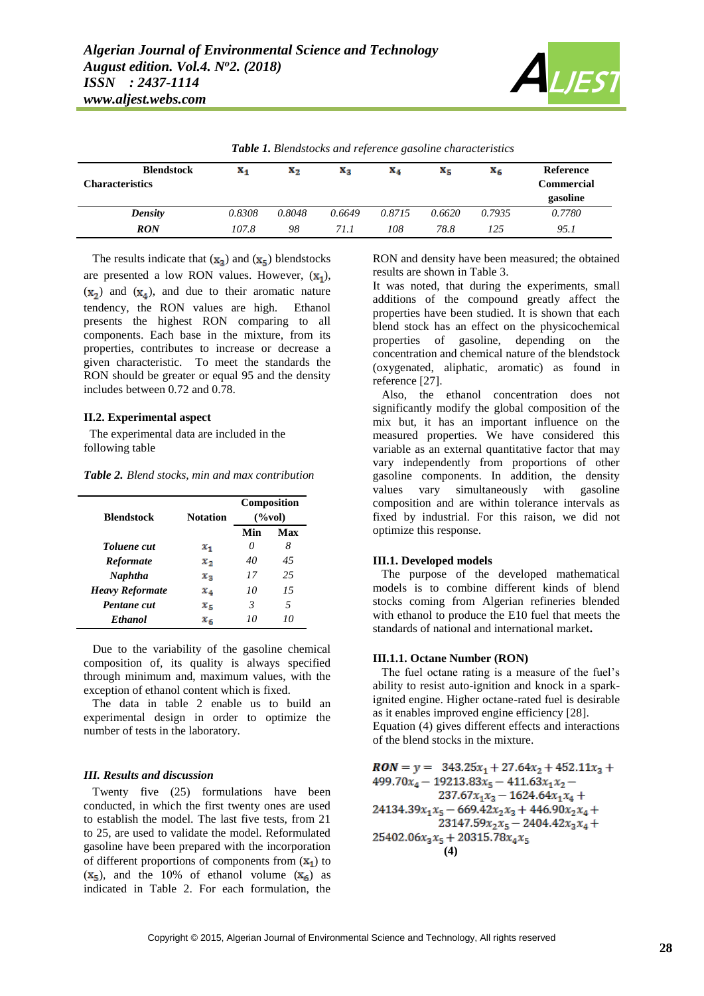

|                        |        |                |        | $\cdot$ |        |        |                   |
|------------------------|--------|----------------|--------|---------|--------|--------|-------------------|
| <b>Blendstock</b>      | X4     | $\mathbf{x}_2$ | Xз     | X4      | X5     | X6     | Reference         |
| <b>Characteristics</b> |        |                |        |         |        |        | <b>Commercial</b> |
|                        |        |                |        |         |        |        | gasoline          |
| Density                | 0.8308 | 0.8048         | 0.6649 | 0.8715  | 0.6620 | 0.7935 | 0.7780            |
| <b>RON</b>             | 107.8  | 98             | 71. I  | 108     | 78.8   | 125    | 95.1              |

*Table 1. Blendstocks and reference gasoline characteristics*

The results indicate that  $(x_3)$  and  $(x_5)$  blendstocks are presented a low RON values. However,  $(x_1)$ ,  $(x_2)$  and  $(x_4)$ , and due to their aromatic nature tendency, the RON values are high. Ethanol presents the highest RON comparing to all components. Each base in the mixture, from its properties, contributes to increase or decrease a given characteristic. To meet the standards the RON should be greater or equal 95 and the density includes between 0.72 and 0.78.

#### **II.2. Experimental aspect**

 The experimental data are included in the following table

*Table 2. Blend stocks, min and max contribution*

| <b>Blendstock</b>      | <b>Notation</b> | Composition<br>$(\%vol)$ |     |  |
|------------------------|-----------------|--------------------------|-----|--|
|                        |                 | Min                      | Max |  |
| <b>Toluene</b> cut     | $x_1$           | $\theta$                 | 8   |  |
| <b>Reformate</b>       | $x_{2}$         | 40                       | 45  |  |
| Naphtha                | $x_{3}$         | 17                       | 25  |  |
| <b>Heavy Reformate</b> | $x_{4}$         | 10                       | 15  |  |
| Pentane cut            | $x_{5}$         | 3                        | 5   |  |
| <b>Ethanol</b>         | $x_{6}$         | 10                       | 10  |  |

 Due to the variability of the gasoline chemical composition of, its quality is always specified through minimum and, maximum values, with the exception of ethanol content which is fixed.

 The data in table 2 enable us to build an experimental design in order to optimize the number of tests in the laboratory.

#### *III. Results and discussion*

 Twenty five (25) formulations have been conducted, in which the first twenty ones are used to establish the model. The last five tests, from 21 to 25, are used to validate the model. Reformulated gasoline have been prepared with the incorporation of different proportions of components from  $(X_1)$  to  $(X_5)$ , and the 10% of ethanol volume  $(X_6)$  as indicated in Table 2. For each formulation, the RON and density have been measured; the obtained results are shown in Table 3.

It was noted, that during the experiments, small additions of the compound greatly affect the properties have been studied. It is shown that each blend stock has an effect on the physicochemical properties of gasoline, depending on the concentration and chemical nature of the blendstock (oxygenated, aliphatic, aromatic) as found in reference [27].

 Also, the ethanol concentration does not significantly modify the global composition of the mix but, it has an important influence on the measured properties. We have considered this variable as an external quantitative factor that may vary independently from proportions of other gasoline components. In addition, the density values vary simultaneously with gasoline composition and are within tolerance intervals as fixed by industrial. For this raison, we did not optimize this response.

#### **III.1. Developed models**

 The purpose of the developed mathematical models is to combine different kinds of blend stocks coming from Algerian refineries blended with ethanol to produce the E10 fuel that meets the standards of national and international market**.**

#### **III.1.1. Octane Number (RON)**

 The fuel octane rating is a measure of the fuel's ability to resist auto-ignition and knock in a sparkignited engine. Higher octane-rated fuel is desirable as it enables improved engine efficiency [28]. Equation (4) gives different effects and interactions of the blend stocks in the mixture.

 $\textit{RON} = y = 343.25x_1 + 27.64x_2 + 452.11x_3 +$  $499.70x_4 - 19213.83x_5 - 411.63x_1x_2 237.67x_1x_3 - 1624.64x_1x_4 +$  $24134.39x_1x_5 - 669.42x_2x_3 + 446.90x_2x_4 +$  $23147.59x_2x_5 - 2404.42x_3x_4 +$  $25402.06x_3x_5 + 20315.78x_4x_5$ **(4)**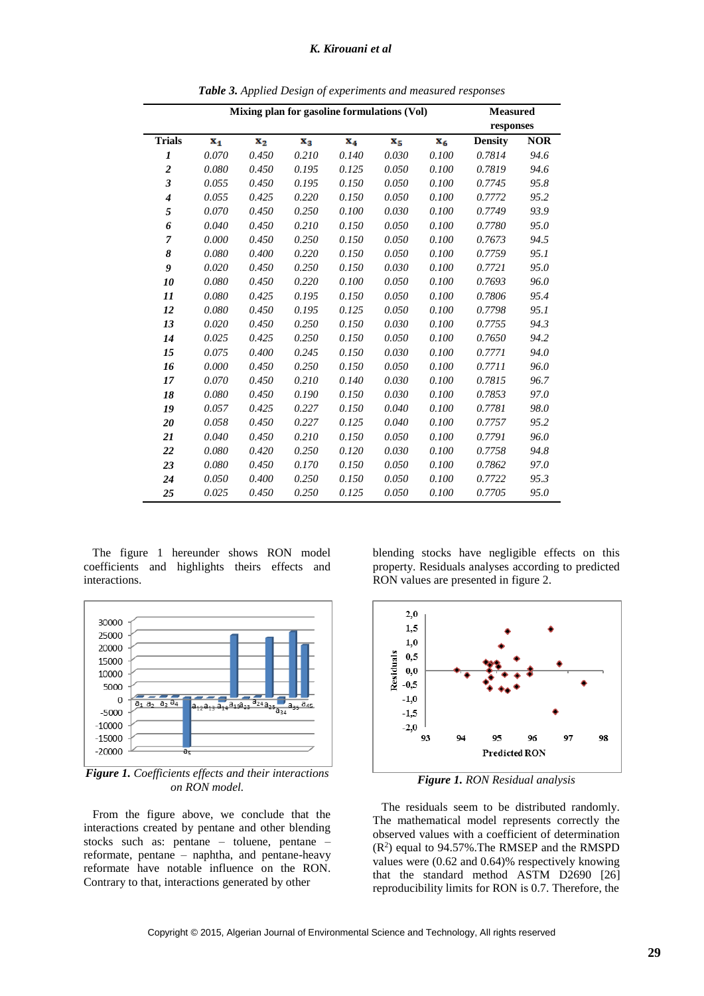#### *K. Kirouani et al*

| Mixing plan for gasoline formulations (Vol) |                |       |                |       |         | <b>Measured</b> |                |            |
|---------------------------------------------|----------------|-------|----------------|-------|---------|-----------------|----------------|------------|
|                                             |                |       |                |       |         |                 | responses      |            |
| <b>Trials</b>                               | $\mathbf{x}_1$ | $x_2$ | $\mathbf{x}_3$ | $X_4$ | $x_{5}$ | $X_6$           | <b>Density</b> | <b>NOR</b> |
| 1                                           | 0.070          | 0.450 | 0.210          | 0.140 | 0.030   | 0.100           | 0.7814         | 94.6       |
| $\overline{\mathbf{c}}$                     | 0.080          | 0.450 | 0.195          | 0.125 | 0.050   | 0.100           | 0.7819         | 94.6       |
| $\overline{\mathbf{3}}$                     | 0.055          | 0.450 | 0.195          | 0.150 | 0.050   | 0.100           | 0.7745         | 95.8       |
| 4                                           | 0.055          | 0.425 | 0.220          | 0.150 | 0.050   | 0.100           | 0.7772         | 95.2       |
| 5                                           | 0.070          | 0.450 | 0.250          | 0.100 | 0.030   | 0.100           | 0.7749         | 93.9       |
| 6                                           | 0.040          | 0.450 | 0.210          | 0.150 | 0.050   | 0.100           | 0.7780         | 95.0       |
| 7                                           | 0.000          | 0.450 | 0.250          | 0.150 | 0.050   | 0.100           | 0.7673         | 94.5       |
| 8                                           | 0.080          | 0.400 | 0.220          | 0.150 | 0.050   | 0.100           | 0.7759         | 95.1       |
| 9                                           | 0.020          | 0.450 | 0.250          | 0.150 | 0.030   | 0.100           | 0.7721         | 95.0       |
| 10                                          | 0.080          | 0.450 | 0.220          | 0.100 | 0.050   | 0.100           | 0.7693         | 96.0       |
| 11                                          | 0.080          | 0.425 | 0.195          | 0.150 | 0.050   | 0.100           | 0.7806         | 95.4       |
| 12                                          | 0.080          | 0.450 | 0.195          | 0.125 | 0.050   | 0.100           | 0.7798         | 95.1       |
| 13                                          | 0.020          | 0.450 | 0.250          | 0.150 | 0.030   | 0.100           | 0.7755         | 94.3       |
| 14                                          | 0.025          | 0.425 | 0.250          | 0.150 | 0.050   | 0.100           | 0.7650         | 94.2       |
| 15                                          | 0.075          | 0.400 | 0.245          | 0.150 | 0.030   | 0.100           | 0.7771         | 94.0       |
| 16                                          | 0.000          | 0.450 | 0.250          | 0.150 | 0.050   | 0.100           | 0.7711         | 96.0       |
| 17                                          | 0.070          | 0.450 | 0.210          | 0.140 | 0.030   | 0.100           | 0.7815         | 96.7       |
| 18                                          | 0.080          | 0.450 | 0.190          | 0.150 | 0.030   | 0.100           | 0.7853         | 97.0       |
| 19                                          | 0.057          | 0.425 | 0.227          | 0.150 | 0.040   | 0.100           | 0.7781         | 98.0       |
| 20                                          | 0.058          | 0.450 | 0.227          | 0.125 | 0.040   | 0.100           | 0.7757         | 95.2       |
| 21                                          | 0.040          | 0.450 | 0.210          | 0.150 | 0.050   | 0.100           | 0.7791         | 96.0       |
| 22                                          | 0.080          | 0.420 | 0.250          | 0.120 | 0.030   | 0.100           | 0.7758         | 94.8       |
| 23                                          | 0.080          | 0.450 | 0.170          | 0.150 | 0.050   | 0.100           | 0.7862         | 97.0       |
| 24                                          | 0.050          | 0.400 | 0.250          | 0.150 | 0.050   | 0.100           | 0.7722         | 95.3       |
| 25                                          | 0.025          | 0.450 | 0.250          | 0.125 | 0.050   | 0.100           | 0.7705         | 95.0       |

*Table 3. Applied Design of experiments and measured responses*

 The figure 1 hereunder shows RON model coefficients and highlights theirs effects and interactions.



*Figure 1. Coefficients effects and their interactions on RON model.*

 From the figure above, we conclude that the interactions created by pentane and other blending stocks such as: pentane – toluene, pentane – reformate, pentane – naphtha, and pentane-heavy reformate have notable influence on the RON. Contrary to that, interactions generated by other

blending stocks have negligible effects on this property. Residuals analyses according to predicted RON values are presented in figure 2.



*Figure 1. RON Residual analysis*

 The residuals seem to be distributed randomly. The mathematical model represents correctly the observed values with a coefficient of determination (R 2 ) equal to 94.57%.The RMSEP and the RMSPD values were (0.62 and 0.64)% respectively knowing that the standard method ASTM D2690 [26] reproducibility limits for RON is 0.7. Therefore, the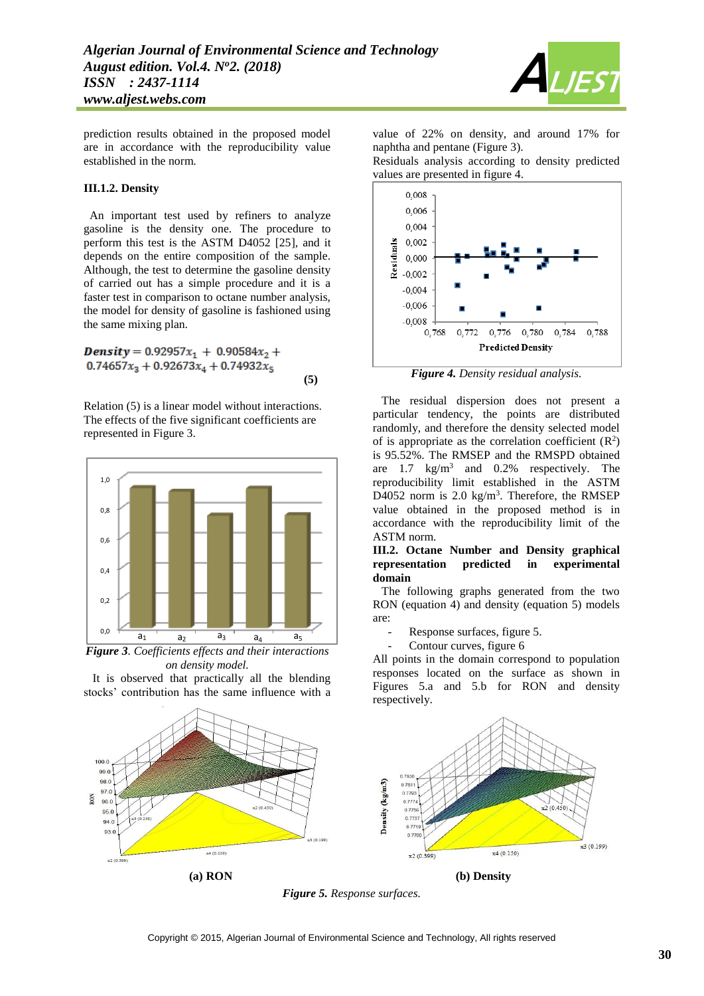

prediction results obtained in the proposed model are in accordance with the reproducibility value established in the norm.

#### **III.1.2. Density**

 An important test used by refiners to analyze gasoline is the density one. The procedure to perform this test is the ASTM D4052 [25], and it depends on the entire composition of the sample. Although, the test to determine the gasoline density of carried out has a simple procedure and it is a faster test in comparison to octane number analysis, the model for density of gasoline is fashioned using the same mixing plan.

**Density** =  $0.92957x_1 + 0.90584x_2 +$  $0.74657x_3 + 0.92673x_4 + 0.74932x_5$ **(5)**

Relation (5) is a linear model without interactions. The effects of the five significant coefficients are represented in Figure 3.



*Figure 3. Coefficients effects and their interactions on density model.*

 It is observed that practically all the blending stocks' contribution has the same influence with a

value of 22% on density, and around 17% for naphtha and pentane (Figure 3).

Residuals analysis according to density predicted values are presented in figure 4.



*Figure 4. Density residual analysis.*

 The residual dispersion does not present a particular tendency, the points are distributed randomly, and therefore the density selected model of is appropriate as the correlation coefficient  $(R^2)$ is 95.52%. The RMSEP and the RMSPD obtained are  $1.7 \text{ kg/m}^3$  and  $0.2\%$  respectively. The reproducibility limit established in the ASTM D4052 norm is  $2.0 \text{ kg/m}^3$ . Therefore, the RMSEP value obtained in the proposed method is in accordance with the reproducibility limit of the ASTM norm.

#### **III.2. Octane Number and Density graphical representation predicted in experimental domain**

 The following graphs generated from the two RON (equation 4) and density (equation 5) models are:

- Response surfaces, figure 5.
- Contour curves, figure 6

All points in the domain correspond to population responses located on the surface as shown in Figures 5.a and 5.b for RON and density respectively.



*Figure 5. Response surfaces.*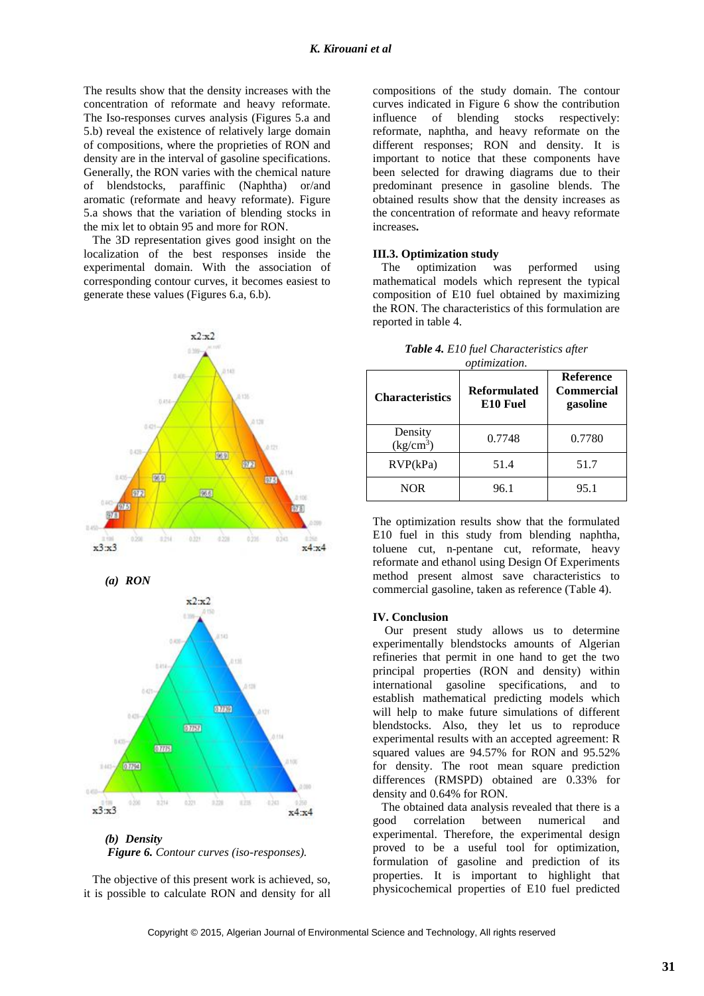The results show that the density increases with the concentration of reformate and heavy reformate. The Iso-responses curves analysis (Figures 5.a and 5.b) reveal the existence of relatively large domain of compositions, where the proprieties of RON and density are in the interval of gasoline specifications. Generally, the RON varies with the chemical nature of blendstocks, paraffinic (Naphtha) or/and aromatic (reformate and heavy reformate). Figure 5.a shows that the variation of blending stocks in the mix let to obtain 95 and more for RON.

 The 3D representation gives good insight on the localization of the best responses inside the experimental domain. With the association of corresponding contour curves, it becomes easiest to generate these values (Figures 6.a, 6.b).



*(a) RON*



*Figure 6. Contour curves (iso-responses).*

 The objective of this present work is achieved, so, it is possible to calculate RON and density for all

compositions of the study domain. The contour curves indicated in Figure 6 show the contribution influence of blending stocks respectively: reformate, naphtha, and heavy reformate on the different responses; RON and density. It is important to notice that these components have been selected for drawing diagrams due to their predominant presence in gasoline blends. The obtained results show that the density increases as the concentration of reformate and heavy reformate increases**.**

#### **III.3. Optimization study**

 The optimization was performed using mathematical models which represent the typical composition of E10 fuel obtained by maximizing the RON. The characteristics of this formulation are reported in table 4.

| <b>Characteristics</b> | <i>opumization.</i><br><b>Reformulated</b><br>E10 Fuel | <b>Reference</b><br>Commercial<br>gasoline |  |  |
|------------------------|--------------------------------------------------------|--------------------------------------------|--|--|
| Density<br>$(kg/cm^3)$ | 0.7748                                                 | 0.7780                                     |  |  |
| RVP(kPa)               | 51.4                                                   | 51.7                                       |  |  |
| <b>NOR</b>             | 96.1                                                   | 95.1                                       |  |  |

*Table 4. E10 fuel Characteristics after optimization.*

The optimization results show that the formulated E10 fuel in this study from blending naphtha, toluene cut, n-pentane cut, reformate, heavy reformate and ethanol using Design Of Experiments method present almost save characteristics to commercial gasoline, taken as reference (Table 4).

#### **IV. Conclusion**

 Our present study allows us to determine experimentally blendstocks amounts of Algerian refineries that permit in one hand to get the two principal properties (RON and density) within international gasoline specifications, and to establish mathematical predicting models which will help to make future simulations of different blendstocks. Also, they let us to reproduce experimental results with an accepted agreement: R squared values are 94.57% for RON and 95.52% for density. The root mean square prediction differences (RMSPD) obtained are 0.33% for density and 0.64% for RON.

 The obtained data analysis revealed that there is a good correlation between numerical and experimental. Therefore, the experimental design proved to be a useful tool for optimization, formulation of gasoline and prediction of its properties. It is important to highlight that physicochemical properties of E10 fuel predicted